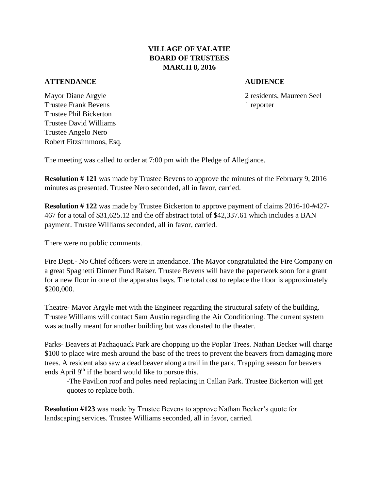## **VILLAGE OF VALATIE BOARD OF TRUSTEES MARCH 8, 2016**

## **ATTENDANCE AUDIENCE**

Mayor Diane Argyle 2 residents, Maureen Seel Trustee Frank Bevens 1 reporter Trustee Phil Bickerton Trustee David Williams Trustee Angelo Nero Robert Fitzsimmons, Esq.

The meeting was called to order at 7:00 pm with the Pledge of Allegiance.

**Resolution # 121** was made by Trustee Bevens to approve the minutes of the February 9, 2016 minutes as presented. Trustee Nero seconded, all in favor, carried.

**Resolution # 122** was made by Trustee Bickerton to approve payment of claims 2016-10-#427- 467 for a total of \$31,625.12 and the off abstract total of \$42,337.61 which includes a BAN payment. Trustee Williams seconded, all in favor, carried.

There were no public comments.

Fire Dept.- No Chief officers were in attendance. The Mayor congratulated the Fire Company on a great Spaghetti Dinner Fund Raiser. Trustee Bevens will have the paperwork soon for a grant for a new floor in one of the apparatus bays. The total cost to replace the floor is approximately \$200,000.

Theatre- Mayor Argyle met with the Engineer regarding the structural safety of the building. Trustee Williams will contact Sam Austin regarding the Air Conditioning. The current system was actually meant for another building but was donated to the theater.

Parks- Beavers at Pachaquack Park are chopping up the Poplar Trees. Nathan Becker will charge \$100 to place wire mesh around the base of the trees to prevent the beavers from damaging more trees. A resident also saw a dead beaver along a trail in the park. Trapping season for beavers ends April  $9<sup>th</sup>$  if the board would like to pursue this.

-The Pavilion roof and poles need replacing in Callan Park. Trustee Bickerton will get quotes to replace both.

**Resolution #123** was made by Trustee Bevens to approve Nathan Becker's quote for landscaping services. Trustee Williams seconded, all in favor, carried.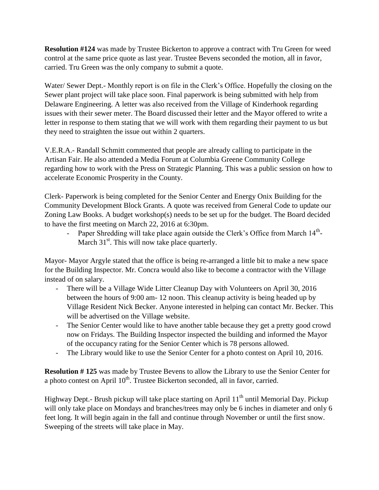**Resolution #124** was made by Trustee Bickerton to approve a contract with Tru Green for weed control at the same price quote as last year. Trustee Bevens seconded the motion, all in favor, carried. Tru Green was the only company to submit a quote.

Water/ Sewer Dept.- Monthly report is on file in the Clerk's Office. Hopefully the closing on the Sewer plant project will take place soon. Final paperwork is being submitted with help from Delaware Engineering. A letter was also received from the Village of Kinderhook regarding issues with their sewer meter. The Board discussed their letter and the Mayor offered to write a letter in response to them stating that we will work with them regarding their payment to us but they need to straighten the issue out within 2 quarters.

V.E.R.A.- Randall Schmitt commented that people are already calling to participate in the Artisan Fair. He also attended a Media Forum at Columbia Greene Community College regarding how to work with the Press on Strategic Planning. This was a public session on how to accelerate Economic Prosperity in the County.

Clerk- Paperwork is being completed for the Senior Center and Energy Onix Building for the Community Development Block Grants. A quote was received from General Code to update our Zoning Law Books. A budget workshop(s) needs to be set up for the budget. The Board decided to have the first meeting on March 22, 2016 at 6:30pm.

- Paper Shredding will take place again outside the Clerk's Office from March 14<sup>th</sup>-March  $31<sup>st</sup>$ . This will now take place quarterly.

Mayor- Mayor Argyle stated that the office is being re-arranged a little bit to make a new space for the Building Inspector. Mr. Concra would also like to become a contractor with the Village instead of on salary.

- There will be a Village Wide Litter Cleanup Day with Volunteers on April 30, 2016 between the hours of 9:00 am- 12 noon. This cleanup activity is being headed up by Village Resident Nick Becker. Anyone interested in helping can contact Mr. Becker. This will be advertised on the Village website.
- The Senior Center would like to have another table because they get a pretty good crowd now on Fridays. The Building Inspector inspected the building and informed the Mayor of the occupancy rating for the Senior Center which is 78 persons allowed.
- The Library would like to use the Senior Center for a photo contest on April 10, 2016.

**Resolution # 125** was made by Trustee Bevens to allow the Library to use the Senior Center for a photo contest on April  $10^{th}$ . Trustee Bickerton seconded, all in favor, carried.

Highway Dept.- Brush pickup will take place starting on April  $11<sup>th</sup>$  until Memorial Day. Pickup will only take place on Mondays and branches/trees may only be 6 inches in diameter and only 6 feet long. It will begin again in the fall and continue through November or until the first snow. Sweeping of the streets will take place in May.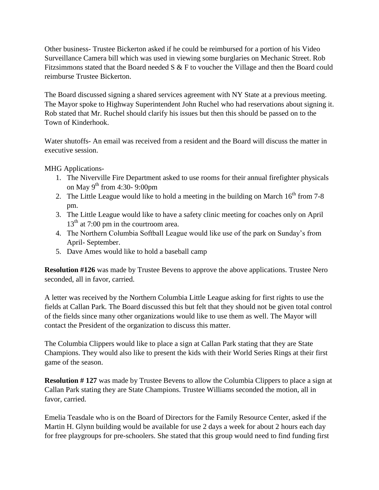Other business- Trustee Bickerton asked if he could be reimbursed for a portion of his Video Surveillance Camera bill which was used in viewing some burglaries on Mechanic Street. Rob Fitzsimmons stated that the Board needed S & F to voucher the Village and then the Board could reimburse Trustee Bickerton.

The Board discussed signing a shared services agreement with NY State at a previous meeting. The Mayor spoke to Highway Superintendent John Ruchel who had reservations about signing it. Rob stated that Mr. Ruchel should clarify his issues but then this should be passed on to the Town of Kinderhook.

Water shutoffs- An email was received from a resident and the Board will discuss the matter in executive session.

MHG Applications-

- 1. The Niverville Fire Department asked to use rooms for their annual firefighter physicals on May  $9^{th}$  from 4:30- 9:00pm
- 2. The Little League would like to hold a meeting in the building on March  $16<sup>th</sup>$  from 7-8 pm.
- 3. The Little League would like to have a safety clinic meeting for coaches only on April  $13<sup>th</sup>$  at 7:00 pm in the courtroom area.
- 4. The Northern Columbia Softball League would like use of the park on Sunday's from April- September.
- 5. Dave Ames would like to hold a baseball camp

**Resolution #126** was made by Trustee Bevens to approve the above applications. Trustee Nero seconded, all in favor, carried.

A letter was received by the Northern Columbia Little League asking for first rights to use the fields at Callan Park. The Board discussed this but felt that they should not be given total control of the fields since many other organizations would like to use them as well. The Mayor will contact the President of the organization to discuss this matter.

The Columbia Clippers would like to place a sign at Callan Park stating that they are State Champions. They would also like to present the kids with their World Series Rings at their first game of the season.

**Resolution #127** was made by Trustee Bevens to allow the Columbia Clippers to place a sign at Callan Park stating they are State Champions. Trustee Williams seconded the motion, all in favor, carried.

Emelia Teasdale who is on the Board of Directors for the Family Resource Center, asked if the Martin H. Glynn building would be available for use 2 days a week for about 2 hours each day for free playgroups for pre-schoolers. She stated that this group would need to find funding first